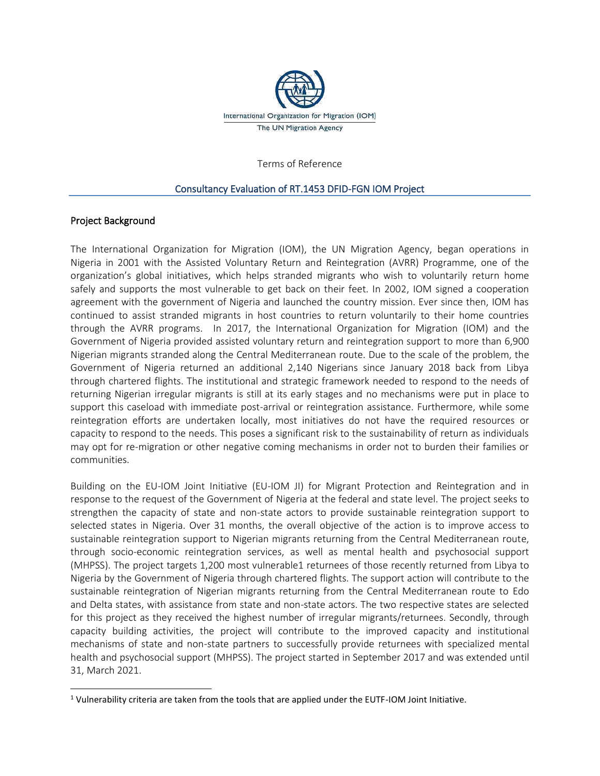

Terms of Reference

#### Consultancy Evaluation of RT.1453 DFID-FGN IOM Project

#### Project Background

The International Organization for Migration (IOM), the UN Migration Agency, began operations in Nigeria in 2001 with the Assisted Voluntary Return and Reintegration (AVRR) Programme, one of the organization's global initiatives, which helps stranded migrants who wish to voluntarily return home safely and supports the most vulnerable to get back on their feet. In 2002, IOM signed a cooperation agreement with the government of Nigeria and launched the country mission. Ever since then, IOM has continued to assist stranded migrants in host countries to return voluntarily to their home countries through the AVRR programs. In 2017, the International Organization for Migration (IOM) and the Government of Nigeria provided assisted voluntary return and reintegration support to more than 6,900 Nigerian migrants stranded along the Central Mediterranean route. Due to the scale of the problem, the Government of Nigeria returned an additional 2,140 Nigerians since January 2018 back from Libya through chartered flights. The institutional and strategic framework needed to respond to the needs of returning Nigerian irregular migrants is still at its early stages and no mechanisms were put in place to support this caseload with immediate post-arrival or reintegration assistance. Furthermore, while some reintegration efforts are undertaken locally, most initiatives do not have the required resources or capacity to respond to the needs. This poses a significant risk to the sustainability of return as individuals may opt for re-migration or other negative coming mechanisms in order not to burden their families or communities.

Building on the EU-IOM Joint Initiative (EU-IOM JI) for Migrant Protection and Reintegration and in response to the request of the Government of Nigeria at the federal and state level. The project seeks to strengthen the capacity of state and non-state actors to provide sustainable reintegration support to selected states in Nigeria. Over 31 months, the overall objective of the action is to improve access to sustainable reintegration support to Nigerian migrants returning from the Central Mediterranean route, through socio-economic reintegration services, as well as mental health and psychosocial support (MHPSS). The project targets 1,200 most vulnerable1 returnees of those recently returned from Libya to Nigeria by the Government of Nigeria through chartered flights. The support action will contribute to the sustainable reintegration of Nigerian migrants returning from the Central Mediterranean route to Edo and Delta states, with assistance from state and non-state actors. The two respective states are selected for this project as they received the highest number of irregular migrants/returnees. Secondly, through capacity building activities, the project will contribute to the improved capacity and institutional mechanisms of state and non-state partners to successfully provide returnees with specialized mental health and psychosocial support (MHPSS). The project started in September 2017 and was extended until 31, March 2021.

<sup>1</sup> Vulnerability criteria are taken from the tools that are applied under the EUTF-IOM Joint Initiative.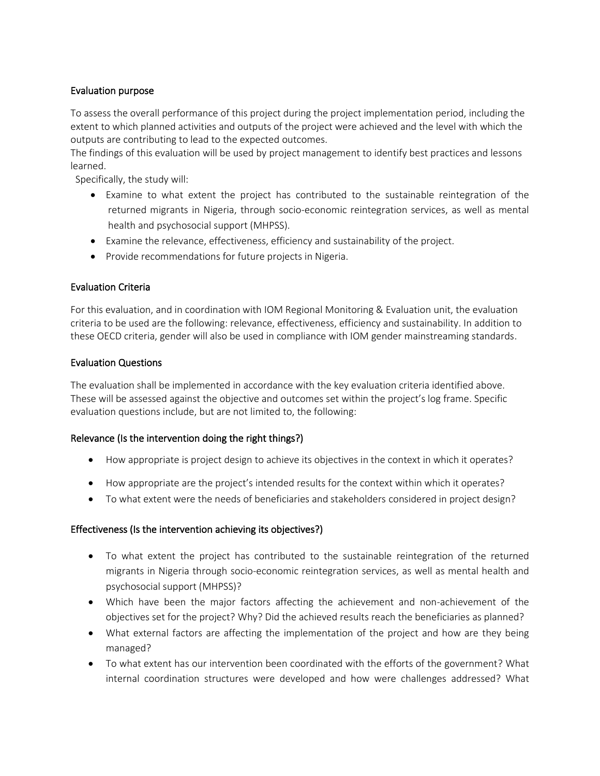# Evaluation purpose

To assess the overall performance of this project during the project implementation period, including the extent to which planned activities and outputs of the project were achieved and the level with which the outputs are contributing to lead to the expected outcomes.

The findings of this evaluation will be used by project management to identify best practices and lessons learned.

Specifically, the study will:

- Examine to what extent the project has contributed to the sustainable reintegration of the returned migrants in Nigeria, through socio-economic reintegration services, as well as mental health and psychosocial support (MHPSS).
- Examine the relevance, effectiveness, efficiency and sustainability of the project.
- Provide recommendations for future projects in Nigeria.

### Evaluation Criteria

For this evaluation, and in coordination with IOM Regional Monitoring & Evaluation unit, the evaluation criteria to be used are the following: relevance, effectiveness, efficiency and sustainability. In addition to these OECD criteria, gender will also be used in compliance with IOM gender mainstreaming standards.

### Evaluation Questions

The evaluation shall be implemented in accordance with the key evaluation criteria identified above. These will be assessed against the objective and outcomes set within the project's log frame. Specific evaluation questions include, but are not limited to, the following:

# Relevance (Is the intervention doing the right things?)

- How appropriate is project design to achieve its objectives in the context in which it operates?
- How appropriate are the project's intended results for the context within which it operates?
- To what extent were the needs of beneficiaries and stakeholders considered in project design?

# Effectiveness (Is the intervention achieving its objectives?)

- To what extent the project has contributed to the sustainable reintegration of the returned migrants in Nigeria through socio-economic reintegration services, as well as mental health and psychosocial support (MHPSS)?
- Which have been the major factors affecting the achievement and non-achievement of the objectives set for the project? Why? Did the achieved results reach the beneficiaries as planned?
- What external factors are affecting the implementation of the project and how are they being managed?
- To what extent has our intervention been coordinated with the efforts of the government? What internal coordination structures were developed and how were challenges addressed? What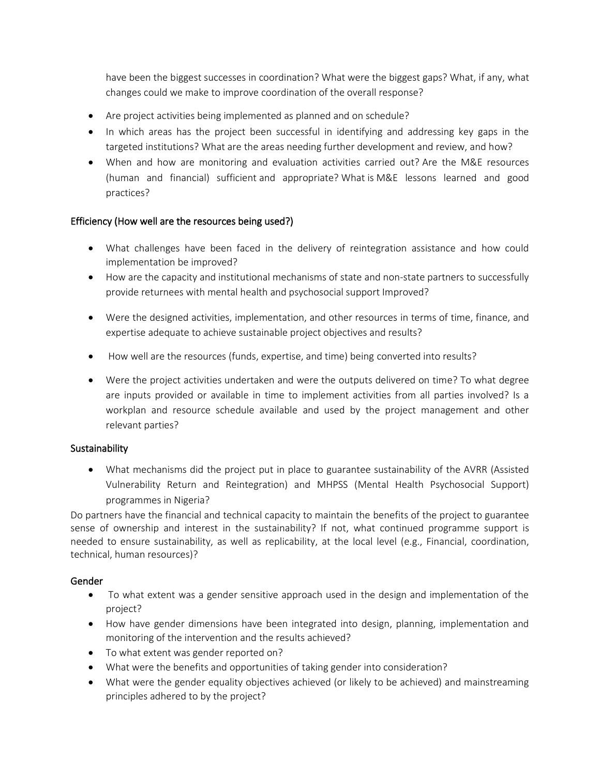have been the biggest successes in coordination? What were the biggest gaps? What, if any, what changes could we make to improve coordination of the overall response?

- Are project activities being implemented as planned and on schedule?
- In which areas has the project been successful in identifying and addressing key gaps in the targeted institutions? What are the areas needing further development and review, and how?
- When and how are monitoring and evaluation activities carried out? Are the M&E resources (human and financial) sufficient and appropriate? What is M&E lessons learned and good practices?

# Efficiency (How well are the resources being used?)

- What challenges have been faced in the delivery of reintegration assistance and how could implementation be improved?
- How are the capacity and institutional mechanisms of state and non-state partners to successfully provide returnees with mental health and psychosocial support Improved?
- Were the designed activities, implementation, and other resources in terms of time, finance, and expertise adequate to achieve sustainable project objectives and results?
- How well are the resources (funds, expertise, and time) being converted into results?
- Were the project activities undertaken and were the outputs delivered on time? To what degree are inputs provided or available in time to implement activities from all parties involved? Is a workplan and resource schedule available and used by the project management and other relevant parties?

# **Sustainability**

• What mechanisms did the project put in place to guarantee sustainability of the AVRR (Assisted Vulnerability Return and Reintegration) and MHPSS (Mental Health Psychosocial Support) programmes in Nigeria?

Do partners have the financial and technical capacity to maintain the benefits of the project to guarantee sense of ownership and interest in the sustainability? If not, what continued programme support is needed to ensure sustainability, as well as replicability, at the local level (e.g., Financial, coordination, technical, human resources)?

# Gender

- To what extent was a gender sensitive approach used in the design and implementation of the project?
- How have gender dimensions have been integrated into design, planning, implementation and monitoring of the intervention and the results achieved?
- To what extent was gender reported on?
- What were the benefits and opportunities of taking gender into consideration?
- What were the gender equality objectives achieved (or likely to be achieved) and mainstreaming principles adhered to by the project?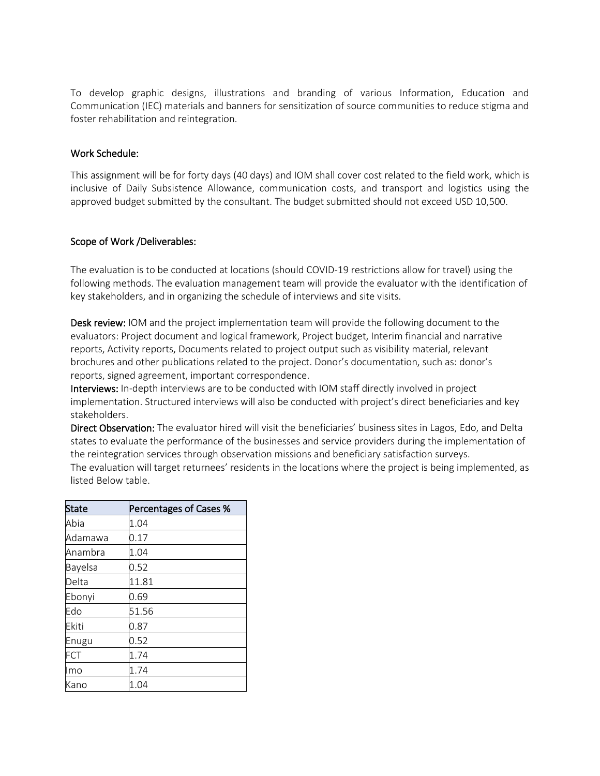To develop graphic designs, illustrations and branding of various Information, Education and Communication (IEC) materials and banners for sensitization of source communities to reduce stigma and foster rehabilitation and reintegration.

### Work Schedule:

This assignment will be for forty days (40 days) and IOM shall cover cost related to the field work, which is inclusive of Daily Subsistence Allowance, communication costs, and transport and logistics using the approved budget submitted by the consultant. The budget submitted should not exceed USD 10,500.

### Scope of Work /Deliverables:

The evaluation is to be conducted at locations (should COVID-19 restrictions allow for travel) using the following methods. The evaluation management team will provide the evaluator with the identification of key stakeholders, and in organizing the schedule of interviews and site visits.

Desk review: IOM and the project implementation team will provide the following document to the evaluators: Project document and logical framework, Project budget, Interim financial and narrative reports, Activity reports, Documents related to project output such as visibility material, relevant brochures and other publications related to the project. Donor's documentation, such as: donor's reports, signed agreement, important correspondence.

Interviews: In-depth interviews are to be conducted with IOM staff directly involved in project implementation. Structured interviews will also be conducted with project's direct beneficiaries and key stakeholders.

Direct Observation: The evaluator hired will visit the beneficiaries' business sites in Lagos, Edo, and Delta states to evaluate the performance of the businesses and service providers during the implementation of the reintegration services through observation missions and beneficiary satisfaction surveys.

The evaluation will target returnees' residents in the locations where the project is being implemented, as listed Below table.

| <b>State</b>   | Percentages of Cases % |
|----------------|------------------------|
| Abia           | 1.04                   |
| Adamawa        | 0.17                   |
| Anambra        | 1.04                   |
| <b>Bayelsa</b> | 0.52                   |
| Delta          | 11.81                  |
| Ebonyi         | 0.69                   |
| Edo            | 51.56                  |
| Ekiti          | 0.87                   |
| Enugu          | 0.52                   |
| FCT            | 1.74                   |
| Imo            | 1.74                   |
| Kano           | 1.04                   |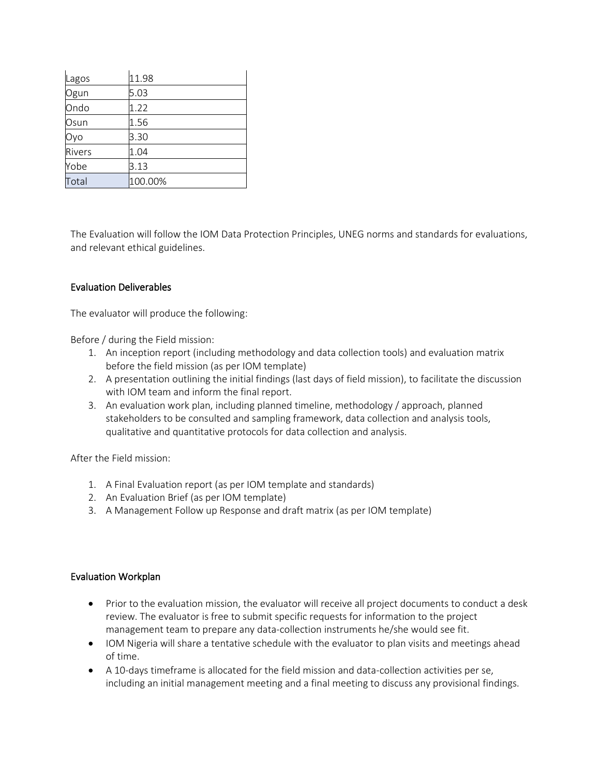| Lagos  | 11.98   |
|--------|---------|
| Ogun   | 5.03    |
| Ondo   | 1.22    |
| Osun   | 1.56    |
| Оуо    | 3.30    |
| Rivers | 1.04    |
| Yobe   | 3.13    |
| Total  | 100.00% |

The Evaluation will follow the IOM Data Protection Principles, UNEG norms and standards for evaluations, and relevant ethical guidelines.

### Evaluation Deliverables

The evaluator will produce the following:

Before / during the Field mission:

- 1. An inception report (including methodology and data collection tools) and evaluation matrix before the field mission (as per IOM template)
- 2. A presentation outlining the initial findings (last days of field mission), to facilitate the discussion with IOM team and inform the final report.
- 3. An evaluation work plan, including planned timeline, methodology / approach, planned stakeholders to be consulted and sampling framework, data collection and analysis tools, qualitative and quantitative protocols for data collection and analysis.

After the Field mission:

- 1. A Final Evaluation report (as per IOM template and standards)
- 2. An Evaluation Brief (as per IOM template)
- 3. A Management Follow up Response and draft matrix (as per IOM template)

# Evaluation Workplan

- Prior to the evaluation mission, the evaluator will receive all project documents to conduct a desk review. The evaluator is free to submit specific requests for information to the project management team to prepare any data-collection instruments he/she would see fit.
- IOM Nigeria will share a tentative schedule with the evaluator to plan visits and meetings ahead of time.
- A 10-days timeframe is allocated for the field mission and data-collection activities per se, including an initial management meeting and a final meeting to discuss any provisional findings.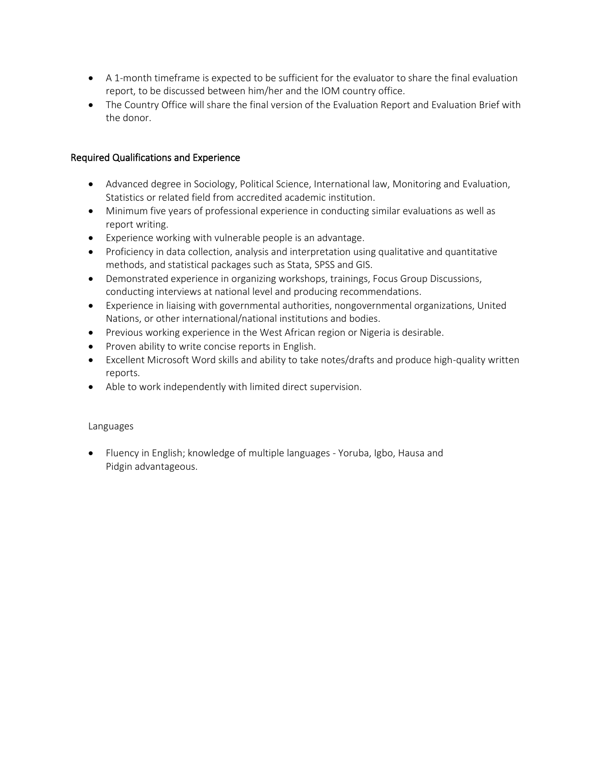- A 1-month timeframe is expected to be sufficient for the evaluator to share the final evaluation report, to be discussed between him/her and the IOM country office.
- The Country Office will share the final version of the Evaluation Report and Evaluation Brief with the donor.

### Required Qualifications and Experience

- Advanced degree in Sociology, Political Science, International law, Monitoring and Evaluation, Statistics or related field from accredited academic institution.
- Minimum five years of professional experience in conducting similar evaluations as well as report writing.
- Experience working with vulnerable people is an advantage.
- Proficiency in data collection, analysis and interpretation using qualitative and quantitative methods, and statistical packages such as Stata, SPSS and GIS.
- Demonstrated experience in organizing workshops, trainings, Focus Group Discussions, conducting interviews at national level and producing recommendations.
- Experience in liaising with governmental authorities, nongovernmental organizations, United Nations, or other international/national institutions and bodies.
- Previous working experience in the West African region or Nigeria is desirable.
- Proven ability to write concise reports in English.
- Excellent Microsoft Word skills and ability to take notes/drafts and produce high-quality written reports.
- Able to work independently with limited direct supervision.

#### Languages

• Fluency in English; knowledge of multiple languages - Yoruba, Igbo, Hausa and Pidgin advantageous.